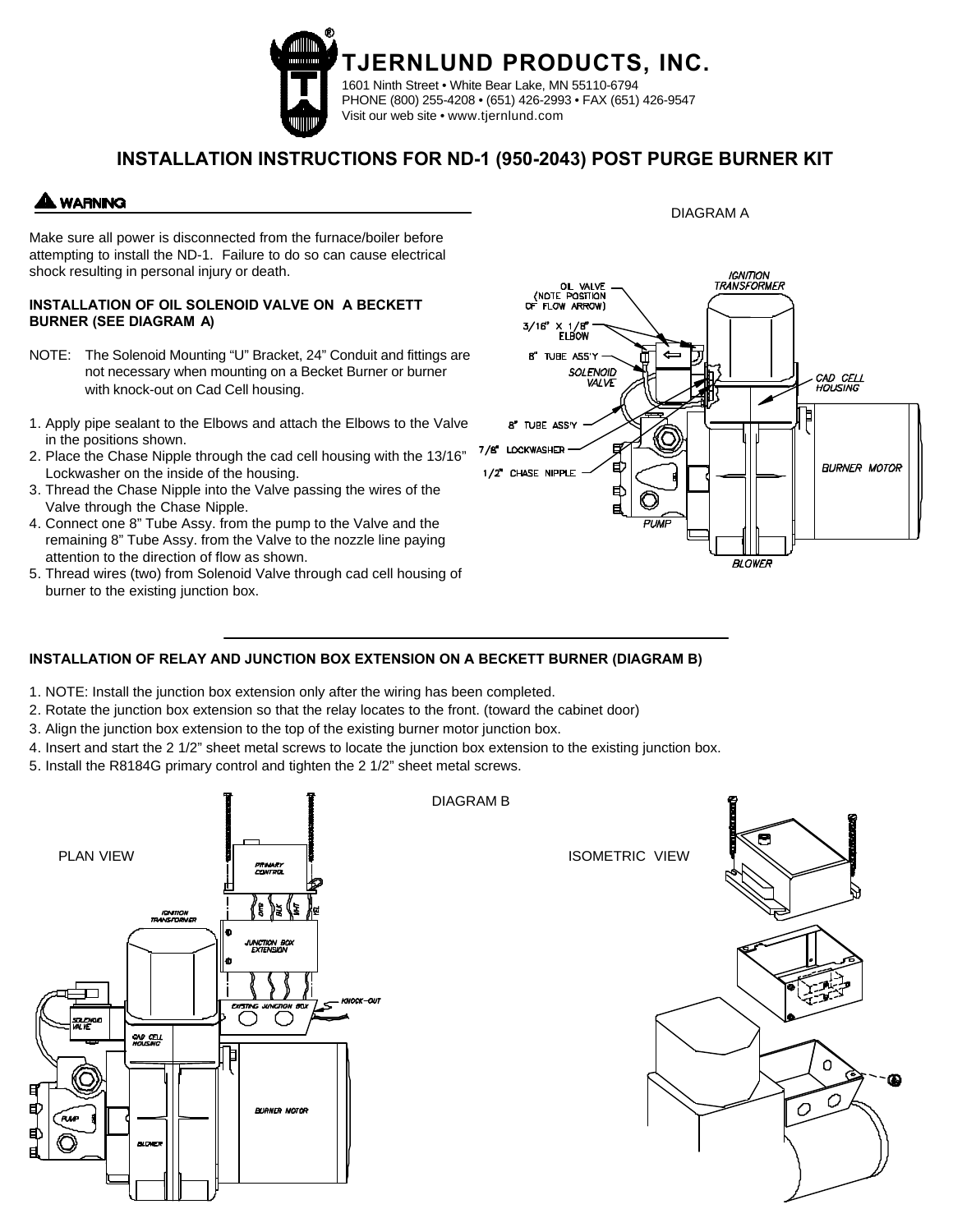

## **INSTALLATION INSTRUCTIONS FOR ND-1 (950-2043) POST PURGE BURNER KIT**

## **WARNING**

Make sure all power is disconnected from the furnace/boiler before attempting to install the ND-1. Failure to do so can cause electrical shock resulting in personal injury or death.

### **INSTALLATION OF OIL SOLENOID VALVE ON A BECKETT BURNER (SEE DIAGRAM A)**

- NOTE: The Solenoid Mounting "U" Bracket, 24" Conduit and fittings are not necessary when mounting on a Becket Burner or burner with knock-out on Cad Cell housing.
- 1. Apply pipe sealant to the Elbows and attach the Elbows to the Valve in the positions shown.
- 2. Place the Chase Nipple through the cad cell housing with the 13/16" Lockwasher on the inside of the housing.
- 3. Thread the Chase Nipple into the Valve passing the wires of the Valve through the Chase Nipple.
- 4. Connect one 8" Tube Assy. from the pump to the Valve and the remaining 8" Tube Assy. from the Valve to the nozzle line paying attention to the direction of flow as shown.
- 5. Thread wires (two) from Solenoid Valve through cad cell housing of burner to the existing junction box.



DIAGRAM A

## **INSTALLATION OF RELAY AND JUNCTION BOX EXTENSION ON A BECKETT BURNER (DIAGRAM B)**

- 1. NOTE: Install the junction box extension only after the wiring has been completed.
- 2. Rotate the junction box extension so that the relay locates to the front. (toward the cabinet door)
- 3. Align the junction box extension to the top of the existing burner motor junction box.
- 4. Insert and start the 2 1/2" sheet metal screws to locate the junction box extension to the existing junction box.

DIAGRAM B

5. Install the R8184G primary control and tighten the 2 1/2" sheet metal screws.



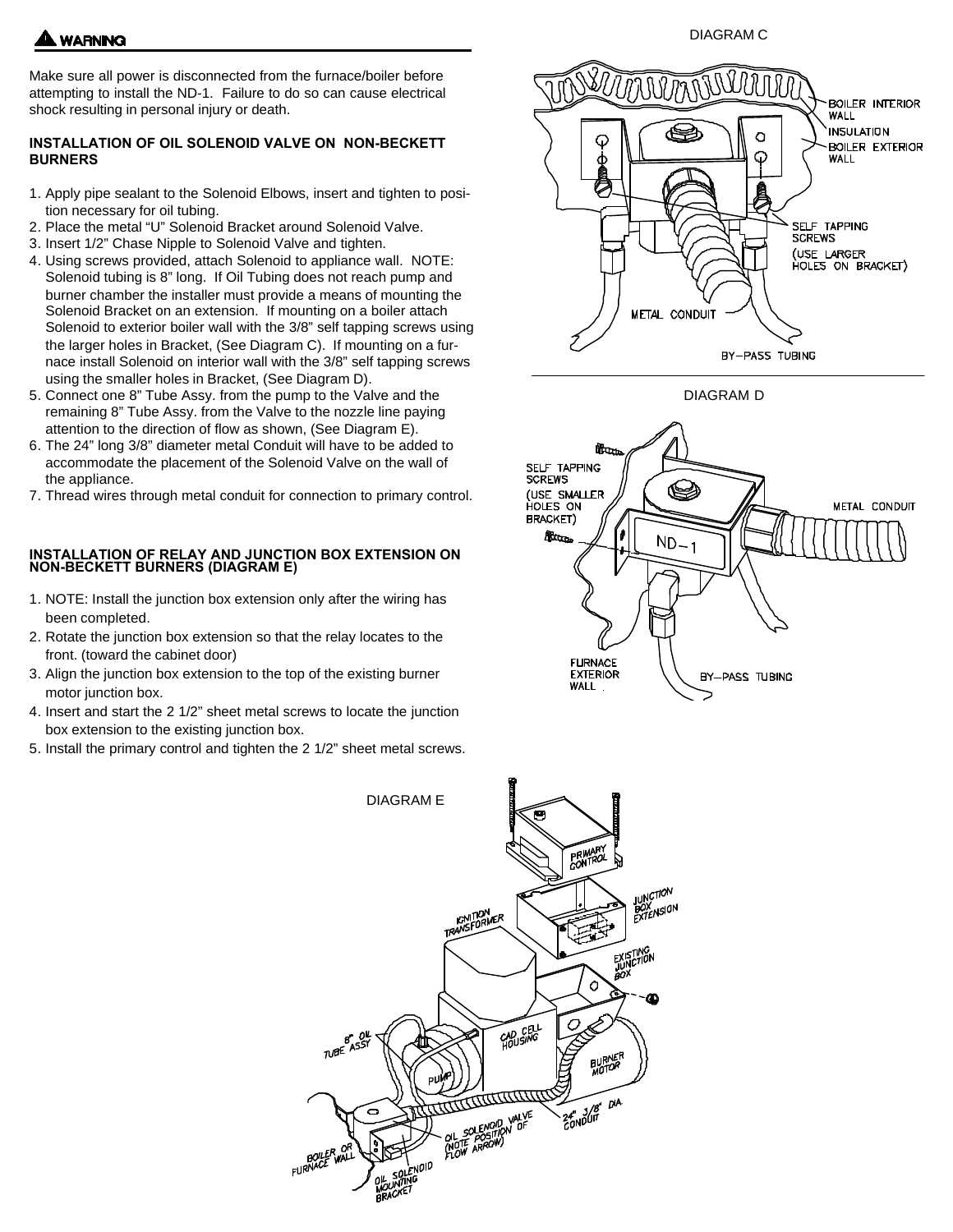

Make sure all power is disconnected from the furnace/boiler before attempting to install the ND-1. Failure to do so can cause electrical shock resulting in personal injury or death.

### **INSTALLATION OF OIL SOLENOID VALVE ON NON-BECKETT BURNERS**

- 1. Apply pipe sealant to the Solenoid Elbows, insert and tighten to position necessary for oil tubing.
- 2. Place the metal "U" Solenoid Bracket around Solenoid Valve.
- 3. Insert 1/2" Chase Nipple to Solenoid Valve and tighten.
- 4. Using screws provided, attach Solenoid to appliance wall. NOTE: Solenoid tubing is 8" long. If Oil Tubing does not reach pump and burner chamber the installer must provide a means of mounting the Solenoid Bracket on an extension. If mounting on a boiler attach Solenoid to exterior boiler wall with the 3/8" self tapping screws using the larger holes in Bracket, (See Diagram C). If mounting on a furnace install Solenoid on interior wall with the 3/8" self tapping screws using the smaller holes in Bracket, (See Diagram D).
- 5. Connect one 8" Tube Assy. from the pump to the Valve and the remaining 8" Tube Assy. from the Valve to the nozzle line paying attention to the direction of flow as shown, (See Diagram E).
- 6. The 24" long 3/8" diameter metal Conduit will have to be added to accommodate the placement of the Solenoid Valve on the wall of the appliance.
- 7. Thread wires through metal conduit for connection to primary control.

# **INSTALLATION OF RELAY AND JUNCTION BOX EXTENSION ON NON-BECKETT BURNERS (DIAGRAM E)**

- 1. NOTE: Install the junction box extension only after the wiring has been completed.
- 2. Rotate the junction box extension so that the relay locates to the front. (toward the cabinet door)
- 3. Align the junction box extension to the top of the existing burner motor junction box.
- 4. Insert and start the 2 1/2" sheet metal screws to locate the junction box extension to the existing junction box.
- 5. Install the primary control and tighten the 2 1/2" sheet metal screws.



DIAGRAM C



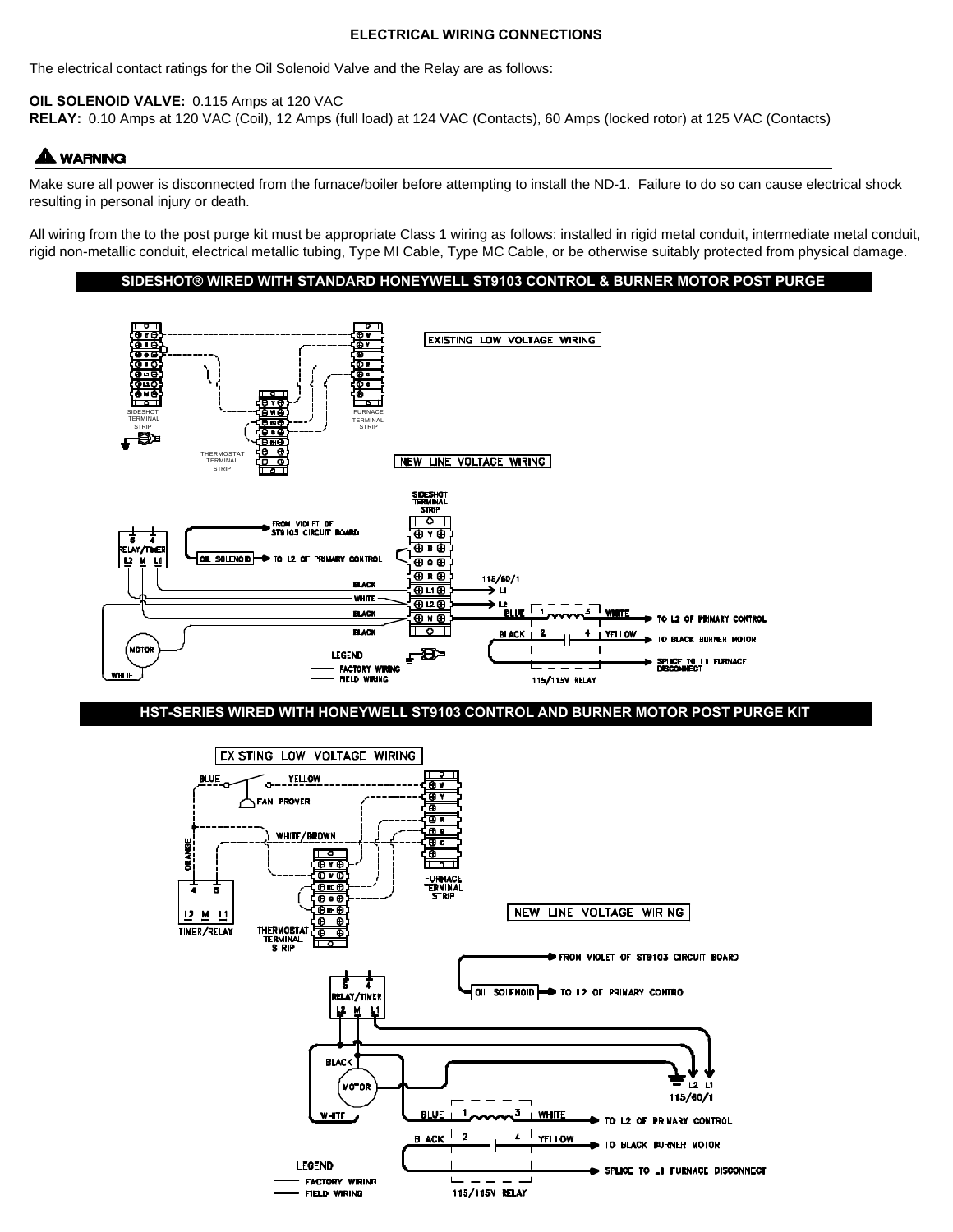#### **ELECTRICAL WIRING CONNECTIONS**

The electrical contact ratings for the Oil Solenoid Valve and the Relay are as follows:

**OIL SOLENOID VALVE:** 0.115 Amps at 120 VAC

**RELAY:** 0.10 Amps at 120 VAC (Coil), 12 Amps (full load) at 124 VAC (Contacts), 60 Amps (locked rotor) at 125 VAC (Contacts)

# **A WARNING**

Make sure all power is disconnected from the furnace/boiler before attempting to install the ND-1. Failure to do so can cause electrical shock resulting in personal injury or death.

All wiring from the to the post purge kit must be appropriate Class 1 wiring as follows: installed in rigid metal conduit, intermediate metal conduit, rigid non-metallic conduit, electrical metallic tubing, Type MI Cable, Type MC Cable, or be otherwise suitably protected from physical damage.

### **SIDESHOT® WIRED WITH STANDARD HONEYWELL ST9103 CONTROL & BURNER MOTOR POST PURGE**